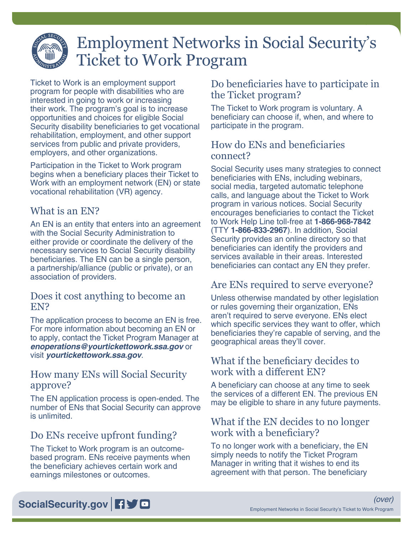# Employment Networks in Social Security's Ticket to Work Program

Ticket to Work is an employment support program for people with disabilities who are interested in going to work or increasing their work. The program's goal is to increase opportunities and choices for eligible Social Security disability beneficiaries to get vocational rehabilitation, employment, and other support services from public and private providers, employers, and other organizations.

Participation in the Ticket to Work program begins when a beneficiary places their Ticket to Work with an employment network (EN) or state vocational rehabilitation (VR) agency.

# What is an EN?

An EN is an entity that enters into an agreement with the Social Security Administration to either provide or coordinate the delivery of the necessary services to Social Security disability beneficiaries. The EN can be a single person, a partnership/alliance (public or private), or an association of providers.

#### Does it cost anything to become an EN?

The application process to become an EN is free. For more information about becoming an EN or to apply, contact the Ticket Program Manager at *[enoperations@yourtickettowork.ssa.gov](mailto:enoperations%40yourtickettowork.ssa.gov?subject=)* or visit *[yourtickettowork.ssa.gov](https://yourtickettowork.ssa.gov)*.

# How many ENs will Social Security approve?

The EN application process is open-ended. The number of ENs that Social Security can approve is unlimited.

# Do ENs receive upfront funding?

The Ticket to Work program is an outcomebased program. ENs receive payments when the beneficiary achieves certain work and earnings milestones or outcomes.

# Do beneficiaries have to participate in the Ticket program?

The Ticket to Work program is voluntary. A beneficiary can choose if, when, and where to participate in the program.

# How do ENs and beneficiaries connect?

Social Security uses many strategies to connect beneficiaries with ENs, including webinars, social media, targeted automatic telephone calls, and language about the Ticket to Work program in various notices. Social Security encourages beneficiaries to contact the Ticket to Work Help Line toll-free at **1-866-968-7842**  (TTY **1-866-833-2967**). In addition, Social Security provides an online directory so that beneficiaries can identify the providers and services available in their areas. Interested beneficiaries can contact any EN they prefer.

# Are ENs required to serve everyone?

Unless otherwise mandated by other legislation or rules governing their organization, ENs aren't required to serve everyone. ENs elect which specific services they want to offer, which beneficiaries they're capable of serving, and the geographical areas they'll cover.

#### What if the beneficiary decides to work with a different EN?

A beneficiary can choose at any time to seek the services of a different EN. The previous EN may be eligible to share in any future payments.

# What if the EN decides to no longer work with a beneficiary?

To no longer work with a beneficiary, the EN simply needs to notify the Ticket Program Manager in writing that it wishes to end its agreement with that person. The beneficiary

# [SocialSecurity.gov](https://www.socialsecurity.gov) **日**》